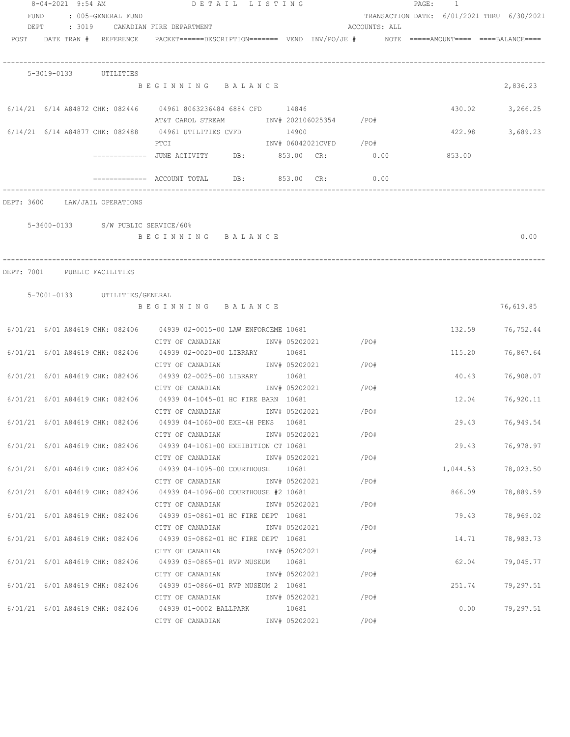|      | 8-04-2021 9:54 AM |                                    | DETAIL LISTING                                                                                                                          |               |                        |               | $\mathtt{PAGE}$ :<br>$\overline{1}$        |                    |
|------|-------------------|------------------------------------|-----------------------------------------------------------------------------------------------------------------------------------------|---------------|------------------------|---------------|--------------------------------------------|--------------------|
| FUND |                   | : 005-GENERAL FUND                 |                                                                                                                                         |               |                        |               | TRANSACTION DATE: 6/01/2021 THRU 6/30/2021 |                    |
|      |                   |                                    | DEPT : 3019 CANADIAN FIRE DEPARTMENT                                                                                                    |               |                        | ACCOUNTS: ALL |                                            |                    |
|      |                   |                                    | POST DATE TRAN # REFERENCE PACKET======DESCRIPTION======= VEND INV/PO/JE # NOTE =====AMOUNT==== ====BALANCE====                         |               |                        |               |                                            |                    |
|      |                   | 5-3019-0133 UTILITIES              |                                                                                                                                         |               |                        |               |                                            |                    |
|      |                   |                                    | BEGINNING BALANCE                                                                                                                       |               |                        |               |                                            | 2,836.23           |
|      |                   |                                    | 6/14/21 6/14 A84872 CHK: 082446 04961 8063236484 6884 CFD 14846<br>AT&T CAROL STREAM              INV# 202106025354       /PO#          |               |                        |               | 430.02                                     | 3,266.25           |
|      |                   |                                    | $6/14/21$ $6/14$ A84877 CHK: 082488 04961 UTILITIES CVFD 14900<br>PTCI                                                                  |               | INV# 06042021CVFD /PO# |               | 422.98                                     | 3,689.23           |
|      |                   |                                    |                                                                                                                                         |               |                        |               |                                            |                    |
|      |                   |                                    | $\overline{\phantom{z}}$ ============= ACCOUNT TOTAL DB: $\phantom{z}853.00$ CR:                                                        |               |                        | 0.00          |                                            |                    |
|      |                   | DEPT: 3600 LAW/JAIL OPERATIONS     |                                                                                                                                         |               |                        |               |                                            |                    |
|      |                   | 5-3600-0133 S/W PUBLIC SERVICE/60% |                                                                                                                                         |               |                        |               |                                            |                    |
|      |                   |                                    | BEGINNING BALANCE                                                                                                                       |               |                        |               |                                            | 0.00               |
|      |                   |                                    |                                                                                                                                         |               |                        |               |                                            |                    |
|      |                   | DEPT: 7001 PUBLIC FACILITIES       |                                                                                                                                         |               |                        |               |                                            |                    |
|      |                   | 5-7001-0133 UTILITIES/GENERAL      | BEGINNING BALANCE                                                                                                                       |               |                        |               |                                            | 76,619.85          |
|      |                   |                                    | 6/01/21 6/01 A84619 CHK: 082406 04939 02-0015-00 LAW ENFORCEME 10681                                                                    |               |                        |               | 132.59                                     | 76,752.44          |
|      |                   |                                    | CITY OF CANADIAN              INV# 05202021<br>6/01/21 6/01 A84619 CHK: 082406 04939 02-0020-00 LIBRARY 10681                           |               |                        | $/$ PO#       | 115.20                                     | 76,867.64          |
|      |                   |                                    | CITY OF CANADIAN MOTHOM INV# 05202021<br>6/01/21 6/01 A84619 CHK: 082406 04939 02-0025-00 LIBRARY 10681                                 |               |                        | /PO#          | 40.43                                      | 76,908.07          |
|      |                   |                                    | CITY OF CANADIAN<br>6/01/21 6/01 A84619 CHK: 082406 04939 04-1045-01 HC FIRE BARN 10681                                                 | INV# 05202021 |                        | /PO#          | 12.04                                      | 76,920.11          |
|      |                   |                                    | CITY OF CANADIAN INV# 05202021                                                                                                          |               |                        | /PO#          |                                            |                    |
|      |                   |                                    | 6/01/21 6/01 A84619 CHK: 082406 04939 04-1060-00 EXH-4H PENS 10681<br>CITY OF CANADIAN                                                  |               | INV# 05202021 /PO#     |               |                                            | 29.43 76,949.54    |
|      |                   |                                    | 6/01/21 6/01 A84619 CHK: 082406 04939 04-1061-00 EXHIBITION CT 10681                                                                    |               |                        |               |                                            | 29.43 76,978.97    |
|      |                   |                                    | CITY OF CANADIAN<br>6/01/21 6/01 A84619 CHK: 082406 04939 04-1095-00 COURTHOUSE 10681                                                   | INV# 05202021 |                        | /PO#          |                                            | 1,044.53 78,023.50 |
|      |                   |                                    | CITY OF CANADIAN<br>$6/01/21$ $6/01$ A84619 CHK: 082406 04939 04-1096-00 COURTHOUSE #2 10681                                            | INV# 05202021 |                        | $/$ PO#       | 866.09                                     | 78,889.59          |
|      |                   |                                    | CITY OF CANADIAN             INV# 05202021<br>6/01/21 6/01 A84619 CHK: 082406 04939 05-0861-01 HC FIRE DEPT 10681                       |               |                        | /PO#          | 79.43                                      | 78,969.02          |
|      |                   |                                    | CITY OF CANADIAN $\qquad \qquad \qquad \text{INV}\# \quad 05202021 \qquad \qquad \qquad \text{/PO}\#$                                   |               |                        |               |                                            |                    |
|      |                   |                                    | 6/01/21 6/01 A84619 CHK: 082406 04939 05-0862-01 HC FIRE DEPT 10681<br>CITY OF CANADIAN               INV# 05202021                /PO# |               |                        |               | 14.71                                      | 78,983.73          |
|      |                   |                                    | 6/01/21 6/01 A84619 CHK: 082406 04939 05-0865-01 RVP MUSEUM 10681<br>CITY OF CANADIAN              INV# 05202021                 /PO#   |               |                        |               | 62.04                                      | 79,045.77          |
|      |                   |                                    | 6/01/21 6/01 A84619 CHK: 082406 04939 05-0866-01 RVP MUSEUM 2 10681                                                                     |               |                        | /PO#          | 251.74                                     | 79,297.51          |
|      |                   |                                    | CITY OF CANADIAN MUSIC NV# 05202021<br>6/01/21 6/01 A84619 CHK: 082406 04939 01-0002 BALLPARK 10681                                     |               |                        |               |                                            | $0.00$ 79,297.51   |
|      |                   |                                    |                                                                                                                                         |               |                        |               |                                            |                    |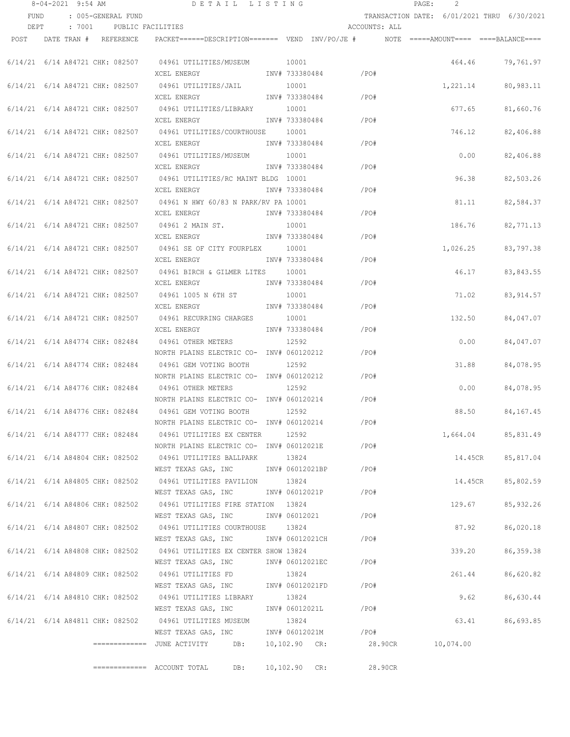|      | $8 - 04 - 2021$ 9:54 AM         |                                 | DETAIL LISTING                                                                                    |                                    |               | PAGE: | $\overline{2}$ |                                            |
|------|---------------------------------|---------------------------------|---------------------------------------------------------------------------------------------------|------------------------------------|---------------|-------|----------------|--------------------------------------------|
| FUND |                                 | : 005-GENERAL FUND              |                                                                                                   |                                    |               |       |                | TRANSACTION DATE: 6/01/2021 THRU 6/30/2021 |
| DEPT |                                 | : 7001 PUBLIC FACILITIES        |                                                                                                   |                                    | ACCOUNTS: ALL |       |                |                                            |
|      | POST DATE TRAN # REFERENCE      |                                 | PACKET======DESCRIPTION========  VEND  INV/PO/JE #         NOTE  =====AMOUNT====  ====BALANCE==== |                                    |               |       |                |                                            |
|      |                                 | 6/14/21 6/14 A84721 CHK: 082507 | 04961 UTILITIES/MUSEUM 10001                                                                      |                                    |               |       | 464.46         | 79,761.97                                  |
|      |                                 |                                 | XCEL ENERGY                                                                                       | INV# 733380484 /PO#                |               |       |                |                                            |
|      |                                 | 6/14/21 6/14 A84721 CHK: 082507 | 04961 UTILITIES/JAIL                                                                              | 10001                              |               |       | 1,221.14       | 80,983.11                                  |
|      |                                 |                                 | XCEL ENERGY                                                                                       | INV# 733380484 /PO#                |               |       |                |                                            |
|      |                                 | 6/14/21 6/14 A84721 CHK: 082507 | 04961 UTILITIES/LIBRARY                                                                           | 10001                              |               |       | 677.65         | 81,660.76                                  |
|      |                                 |                                 | XCEL ENERGY                                                                                       | INV# 733380484                     | $/$ PO#       |       |                |                                            |
|      |                                 | 6/14/21 6/14 A84721 CHK: 082507 | 04961 UTILITIES/COURTHOUSE 10001                                                                  |                                    |               |       | 746.12         | 82,406.88                                  |
|      |                                 |                                 | XCEL ENERGY                                                                                       | INV# 733380484                     | /PO#          |       |                |                                            |
|      |                                 |                                 | 6/14/21 6/14 A84721 CHK: 082507 04961 UTILITIES/MUSEUM 10001                                      |                                    |               |       | 0.00           | 82,406.88                                  |
|      |                                 |                                 | XCEL ENERGY                                                                                       | INV# 733380484                     | /PO#          |       |                |                                            |
|      |                                 |                                 | 6/14/21 6/14 A84721 CHK: 082507 04961 UTILITIES/RC MAINT BLDG 10001                               |                                    |               |       | 96.38          | 82,503.26                                  |
|      |                                 |                                 | XCEL ENERGY                                                                                       | INV# 733380484                     | /PO#          |       |                |                                            |
|      |                                 |                                 | 6/14/21 6/14 A84721 CHK: 082507 04961 N HWY 60/83 N PARK/RV PA 10001                              |                                    |               |       | 81.11          | 82,584.37                                  |
|      |                                 |                                 | XCEL ENERGY 1NV# 733380484                                                                        | $/$ PO#                            |               |       |                |                                            |
|      |                                 |                                 | 10001<br>6/14/21 6/14 A84721 CHK: 082507 04961 2 MAIN ST.                                         |                                    |               |       | 186.76         | 82,771.13                                  |
|      |                                 |                                 | XCEL ENERGY                                                                                       | INV# 733380484                     | / PO#         |       |                |                                            |
|      |                                 |                                 | 6/14/21 6/14 A84721 CHK: 082507 04961 SE OF CITY FOURPLEX 10001                                   |                                    |               |       | 1,026.25       | 83,797.38                                  |
|      |                                 |                                 | XCEL ENERGY                                                                                       | INV# 733380484                     | /PO#          |       |                |                                            |
|      | 6/14/21 6/14 A84721 CHK: 082507 |                                 | 04961 BIRCH & GILMER LITES 10001                                                                  |                                    |               |       | 46.17          | 83,843.55                                  |
|      |                                 |                                 | XCEL ENERGY                                                                                       | INV# 733380484                     | / PO#         |       |                |                                            |
|      | 6/14/21 6/14 A84721 CHK: 082507 |                                 | 04961 1005 N 6TH ST                                                                               | 10001                              |               |       | 71.02          | 83, 914.57                                 |
|      |                                 |                                 | XCEL ENERGY                                                                                       | INV# 733380484                     | /PO#          |       |                |                                            |
|      |                                 | 6/14/21 6/14 A84721 CHK: 082507 | 04961 RECURRING CHARGES                                                                           | 10001                              |               |       | 132.50         | 84,047.07                                  |
|      |                                 |                                 | XCEL ENERGY                                                                                       | INV# 733380484                     | $/$ PO#       |       |                |                                            |
|      | 6/14/21 6/14 A84774 CHK: 082484 |                                 | 04961 OTHER METERS                                                                                | 12592                              |               |       | 0.00           | 84,047.07                                  |
|      |                                 |                                 | NORTH PLAINS ELECTRIC CO- INV# 060120212                                                          |                                    | /PO#          |       |                |                                            |
|      |                                 | 6/14/21 6/14 A84774 CHK: 082484 | 04961 GEM VOTING BOOTH                                                                            | 12592                              |               |       | 31.88          | 84,078.95                                  |
|      |                                 |                                 | NORTH PLAINS ELECTRIC CO- INV# 060120212                                                          | /PO#                               |               |       |                |                                            |
|      |                                 | 6/14/21 6/14 A84776 CHK: 082484 | 04961 OTHER METERS                                                                                | 12592                              |               |       | 0.00           | 84,078.95                                  |
|      |                                 |                                 | NORTH PLAINS ELECTRIC CO- INV# 060120214                                                          |                                    | /PO#          |       |                |                                            |
|      | 6/14/21 6/14 A84776 CHK: 082484 |                                 | 04961 GEM VOTING BOOTH                                                                            | 12592                              |               |       | 88.50          | 84, 167. 45                                |
|      |                                 |                                 | NORTH PLAINS ELECTRIC CO- INV# 060120214                                                          |                                    | /PO#          |       |                |                                            |
|      |                                 |                                 | 6/14/21 6/14 A84777 CHK: 082484 04961 UTILITIES EX CENTER                                         | 12592                              |               |       |                | 1,664.04 85,831.49                         |
|      |                                 |                                 | NORTH PLAINS ELECTRIC CO- INV# 06012021E                                                          |                                    | /PO#          |       |                |                                            |
|      |                                 |                                 | 6/14/21 6/14 A84804 CHK: 082502 04961 UTILITIES BALLPARK                                          | 13824                              |               |       | 14.45CR        | 85,817.04                                  |
|      |                                 |                                 | WEST TEXAS GAS, INC                                                                               | INV# 06012021BP / PO#              |               |       |                |                                            |
|      |                                 |                                 | 6/14/21 6/14 A84805 CHK: 082502 04961 UTILITIES PAVILION                                          | 13824                              |               |       | 14.45CR        | 85,802.59                                  |
|      |                                 |                                 | WEST TEXAS GAS, INC                                                                               | INV# 06012021P                     | /PO#          |       |                |                                            |
|      |                                 |                                 | 6/14/21 6/14 A84806 CHK: 082502 04961 UTILITIES FIRE STATION 13824                                |                                    |               |       | 129.67         | 85,932.26                                  |
|      |                                 |                                 | WEST TEXAS GAS, INC                                                                               | INV# 06012021                      | /PO#          |       |                |                                            |
|      |                                 | 6/14/21 6/14 A84807 CHK: 082502 | 04961 UTILITIES COURTHOUSE 13824                                                                  |                                    |               |       | 87.92          | 86,020.18                                  |
|      |                                 |                                 | WEST TEXAS GAS, INC                                                                               | INV# 06012021CH                    | / PO#         |       |                |                                            |
|      |                                 | 6/14/21 6/14 A84808 CHK: 082502 | 04961 UTILITIES EX CENTER SHOW 13824                                                              |                                    |               |       | 339.20         | 86, 359. 38                                |
|      |                                 |                                 | WEST TEXAS GAS, INC                                                                               | INV# 06012021EC                    | /PO#          |       |                |                                            |
|      | 6/14/21 6/14 A84809 CHK: 082502 |                                 | 04961 UTILITIES FD                                                                                | 13824<br>$/$ PO#                   |               |       | 261.44         | 86,620.82                                  |
|      |                                 |                                 | WEST TEXAS GAS, INC                                                                               | INV# 06012021FD                    |               |       |                |                                            |
|      | 6/14/21 6/14 A84810 CHK: 082502 |                                 | 04961 UTILITIES LIBRARY                                                                           | 13824<br>INV# 06012021L<br>$/$ PO# |               |       | 9.62           | 86,630.44                                  |
|      |                                 |                                 | WEST TEXAS GAS, INC                                                                               |                                    |               |       |                | 86,693.85                                  |
|      |                                 |                                 | 6/14/21 6/14 A84811 CHK: 082502 04961 UTILITIES MUSEUM<br>WEST TEXAS GAS, INC                     | 13824<br>INV# 06012021M<br>$/$ PO# |               |       | 63.41          |                                            |
|      |                                 |                                 | =============  JUNE ACTIVITY         DB:                                                          | 10,102.90 CR:                      | 28.90CR       |       | 10,074.00      |                                            |
|      |                                 |                                 |                                                                                                   |                                    |               |       |                |                                            |
|      |                                 |                                 | DB:<br>============= ACCOUNT TOTAL                                                                | $10, 102.90$ CR:                   | 28.90CR       |       |                |                                            |
|      |                                 |                                 |                                                                                                   |                                    |               |       |                |                                            |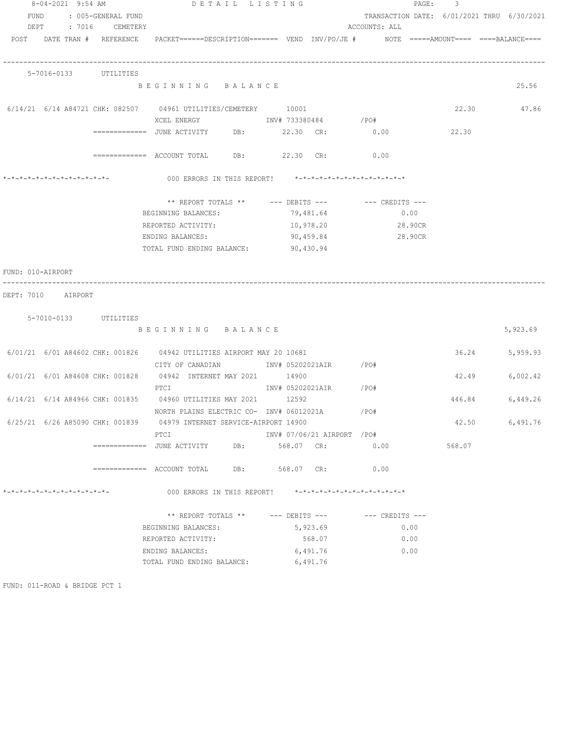| 8-04-2021 9:54 AM                                                  | DETAIL LISTING                                                                                                  |     |            |                            |                                                      | PAGE: 3 |                                            |
|--------------------------------------------------------------------|-----------------------------------------------------------------------------------------------------------------|-----|------------|----------------------------|------------------------------------------------------|---------|--------------------------------------------|
| FUND : 005-GENERAL FUND                                            |                                                                                                                 |     |            |                            |                                                      |         | TRANSACTION DATE: 6/01/2021 THRU 6/30/2021 |
| DEPT : 7016 CEMETERY                                               |                                                                                                                 |     |            |                            | ACCOUNTS: ALL                                        |         |                                            |
|                                                                    | POST DATE TRAN # REFERENCE PACKET======DESCRIPTION======= VEND INV/PO/JE # NOTE =====AMOUNT==== ====BALANCE==== |     |            |                            |                                                      |         |                                            |
| 5-7016-0133 UTILITIES                                              |                                                                                                                 |     |            |                            |                                                      |         |                                            |
|                                                                    | BEGINNING BALANCE                                                                                               |     |            |                            |                                                      |         | 25.56                                      |
| $6/14/21$ $6/14$ A84721 CHK: 082507 04961 UTILITIES/CEMETERY 10001 | XCEL ENERGY 1NV# 733380484 / PO#                                                                                |     |            |                            |                                                      |         | 22.30 47.86                                |
|                                                                    | =============    JUNE  ACTIVITY            DB:                  22.30      CR:                    0.00          |     |            |                            |                                                      | 22.30   |                                            |
|                                                                    |                                                                                                                 |     |            |                            |                                                      |         |                                            |
|                                                                    | ============ ACCOUNT TOTAL DB: 22.30 CR: 0.00                                                                   |     |            |                            |                                                      |         |                                            |
|                                                                    |                                                                                                                 |     |            |                            |                                                      |         |                                            |
|                                                                    |                                                                                                                 |     |            |                            | ** REPORT TOTALS ** --- DEBITS --- -- -- CREDITS --- |         |                                            |
|                                                                    | BEGINNING BALANCES:                                                                                             |     |            | 79,481.64                  | 0.00                                                 |         |                                            |
|                                                                    | REPORTED ACTIVITY:                                                                                              |     |            | 10,978.20                  | 28.90CR                                              |         |                                            |
|                                                                    | ENDING BALANCES:                                                                                                |     | 90,459.84  |                            | 28.90CR                                              |         |                                            |
|                                                                    | TOTAL FUND ENDING BALANCE: 90,430.94                                                                            |     |            |                            |                                                      |         |                                            |
| FUND: 010-AIRPORT                                                  |                                                                                                                 |     |            |                            |                                                      |         |                                            |
| DEPT: 7010 AIRPORT                                                 |                                                                                                                 |     |            |                            |                                                      |         |                                            |
| 5-7010-0133 UTILITIES                                              |                                                                                                                 |     |            |                            |                                                      |         |                                            |
|                                                                    | BEGINNING BALANCE                                                                                               |     |            |                            |                                                      |         | 5,923.69                                   |
|                                                                    | 6/01/21 6/01 A84602 CHK: 001826 04942 UTILITIES AIRPORT MAY 20 10681                                            |     |            |                            |                                                      | 36.24   | 5,959.93                                   |
|                                                                    | CITY OF CANADIAN MOTHOM INV# 05202021AIR / PO#                                                                  |     |            |                            |                                                      |         |                                            |
| $6/01/21$ $6/01$ A84608 CHK: 001828 04942 INTERNET MAY 2021 14900  |                                                                                                                 |     |            |                            |                                                      | 42.49   | 6,002.42                                   |
|                                                                    | <b>PTCI</b>                                                                                                     |     |            | INV# 05202021AIR / PO#     |                                                      |         |                                            |
| 6/14/21 6/14 A84966 CHK: 001835 04960 UTILITIES MAY 2021 12592     |                                                                                                                 |     |            |                            |                                                      |         | 446.84 6,449.26                            |
|                                                                    | NORTH PLAINS ELECTRIC CO- INV# 06012021A / /PO#                                                                 |     |            |                            |                                                      |         |                                            |
|                                                                    | 6/25/21 6/26 A85090 CHK: 001839 04979 INTERNET SERVICE-AIRPORT 14900                                            |     |            |                            |                                                      | 42.50   | 6,491.76                                   |
|                                                                    | PTCI                                                                                                            |     |            | INV# 07/06/21 AIRPORT /PO# |                                                      |         |                                            |
|                                                                    | =============   JUNE  ACTIVITY                                                                                  | DB: | 568.07 CR: |                            | 0.00                                                 | 568.07  |                                            |
|                                                                    |                                                                                                                 |     | 568.07 CR: |                            | 0.00                                                 |         |                                            |
| *-*-*-*-*-*-*-*-*-*-*-*-*-*-                                       | 000 ERRORS IN THIS REPORT!                                                                                      |     |            |                            | *-*-*-*-*-*-*-*-*-*-*-*-*-*-*                        |         |                                            |
|                                                                    | ** REPORT TOTALS ** --- DEBITS ---                                                                              |     |            |                            | $---$ CREDITS $---$                                  |         |                                            |
|                                                                    | BEGINNING BALANCES:                                                                                             |     |            | 5,923.69                   | 0.00                                                 |         |                                            |
|                                                                    | REPORTED ACTIVITY:                                                                                              |     |            | 568.07                     | 0.00                                                 |         |                                            |
|                                                                    | ENDING BALANCES:                                                                                                |     | 6,491.76   |                            | 0.00                                                 |         |                                            |
|                                                                    | TOTAL FUND ENDING BALANCE:                                                                                      |     | 6,491.76   |                            |                                                      |         |                                            |
|                                                                    |                                                                                                                 |     |            |                            |                                                      |         |                                            |

FUND: 011-ROAD & BRIDGE PCT 1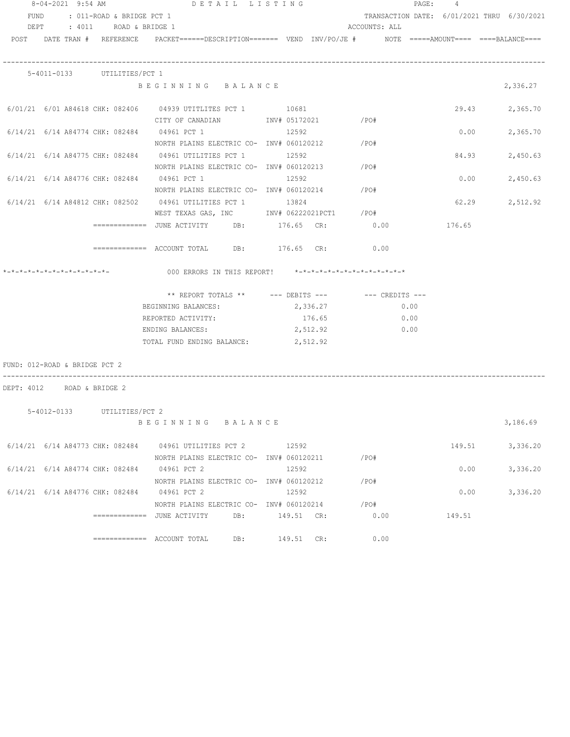|                               | 8-04-2021 9:54 AM |                                | DETAIL LISTING                                                                                                                                                  |     |            |          |               |      | PAGE: 4 |                                            |
|-------------------------------|-------------------|--------------------------------|-----------------------------------------------------------------------------------------------------------------------------------------------------------------|-----|------------|----------|---------------|------|---------|--------------------------------------------|
|                               |                   | FUND : 011-ROAD & BRIDGE PCT 1 |                                                                                                                                                                 |     |            |          |               |      |         | TRANSACTION DATE: 6/01/2021 THRU 6/30/2021 |
|                               |                   | DEPT : 4011 ROAD & BRIDGE 1    |                                                                                                                                                                 |     |            |          | ACCOUNTS: ALL |      |         |                                            |
|                               |                   |                                | POST DATE TRAN # REFERENCE PACKET======DESCRIPTION======= VEND INV/PO/JE # NOTE =====AMOUNT==== ====BALANCE====                                                 |     |            |          |               |      |         |                                            |
|                               |                   | 5-4011-0133 UTILITIES/PCT 1    |                                                                                                                                                                 |     |            |          |               |      |         |                                            |
|                               |                   |                                | BEGINNING BALANCE                                                                                                                                               |     |            |          |               |      |         | 2,336.27                                   |
|                               |                   |                                | 6/01/21 6/01 A84618 CHK: 082406 04939 UTITLITES PCT 1 10681<br>CITY OF CANADIAN $\qquad \qquad \qquad \text{INV}\# \text{ 05172021} \qquad \qquad \text{/PO}\#$ |     |            |          |               |      |         | 29.43 2,365.70                             |
|                               |                   |                                | $6/14/21$ $6/14$ A84774 CHK: 082484 04961 PCT 1 12592<br>NORTH PLAINS ELECTRIC CO- $\,$ INV# 060120212 $\,$ /PO#                                                |     |            |          |               |      | 0.00    | 2,365.70                                   |
|                               |                   |                                | $6/14/21$ $6/14$ A84775 CHK: 082484 04961 UTILITIES PCT 1 12592<br>NORTH PLAINS ELECTRIC CO- $\frac{1}{100}$ NV# 060120213 / PO#                                |     |            |          |               |      | 84.93   | 2,450.63                                   |
|                               |                   |                                | $6/14/21$ $6/14$ A84776 CHK: 082484 04961 PCT 1 1 12592<br>NORTH PLAINS ELECTRIC CO- INV# 060120214 / PO#                                                       |     |            |          |               |      | 0.00    | 2,450.63                                   |
|                               |                   |                                | 6/14/21 6/14 A84812 CHK: 082502 04961 UTILITIES PCT 1 13824<br>WEST TEXAS GAS, INC MONTH 06222021PCT1 / PO#                                                     |     |            |          |               |      |         | 62.29 2,512.92                             |
|                               |                   |                                | ============= JUNE ACTIVITY DB: 176.65 CR: 0.00                                                                                                                 |     |            |          |               |      | 176.65  |                                            |
|                               |                   |                                | ============ ACCOUNT TOTAL DB: 176.65 CR: 0.00                                                                                                                  |     |            |          |               |      |         |                                            |
|                               |                   |                                | *-*-*-*-*-*-*-*-*-*-*-*-*-           000 ERRORS IN THIS REPORT!    *-*-*-*-*-*-*-*-*-*-*-*-*-*                                                                  |     |            |          |               |      |         |                                            |
|                               |                   |                                | ** REPORT TOTALS ** --- DEBITS --- -- CREDITS ---<br>BEGINNING BALANCES: 2,336.27                                                                               |     |            |          |               | 0.00 |         |                                            |
|                               |                   |                                | REPORTED ACTIVITY:                                                                                                                                              |     |            | 176.65   |               | 0.00 |         |                                            |
|                               |                   |                                | ENDING BALANCES:                                                                                                                                                |     |            | 2,512.92 |               | 0.00 |         |                                            |
|                               |                   |                                | TOTAL FUND ENDING BALANCE: 2,512.92                                                                                                                             |     |            |          |               |      |         |                                            |
| FUND: 012-ROAD & BRIDGE PCT 2 |                   |                                |                                                                                                                                                                 |     |            |          |               |      |         |                                            |
| DEPT: 4012 ROAD & BRIDGE 2    |                   |                                |                                                                                                                                                                 |     |            |          |               |      |         |                                            |
|                               |                   | 5-4012-0133 UTILITIES/PCT 2    | BEGINNING BALANCE                                                                                                                                               |     |            |          |               |      |         | 3,186.69                                   |
|                               |                   |                                |                                                                                                                                                                 |     |            |          |               |      |         |                                            |
|                               |                   |                                | 6/14/21 6/14 A84773 CHK: 082484 04961 UTILITIES PCT 2 12592<br>NORTH PLAINS ELECTRIC CO- INV# 060120211                                                         |     |            |          | /PO#          |      | 149.51  | 3,336.20                                   |
|                               |                   |                                | 6/14/21 6/14 A84774 CHK: 082484 04961 PCT 2<br>NORTH PLAINS ELECTRIC CO- INV# 060120212                                                                         |     | 12592      |          |               |      | 0.00    | 3,336.20                                   |
|                               |                   |                                | 6/14/21 6/14 A84776 CHK: 082484 04961 PCT 2                                                                                                                     |     | 12592      |          | /PO#          |      | 0.00    | 3,336.20                                   |
|                               |                   |                                | NORTH PLAINS ELECTRIC CO- INV# 060120214<br>------------- JUNE ACTIVITY DB: 149.51 CR:                                                                          |     |            |          | /PO#          | 0.00 | 149.51  |                                            |
|                               |                   |                                |                                                                                                                                                                 | DB: | 149.51 CR: |          |               | 0.00 |         |                                            |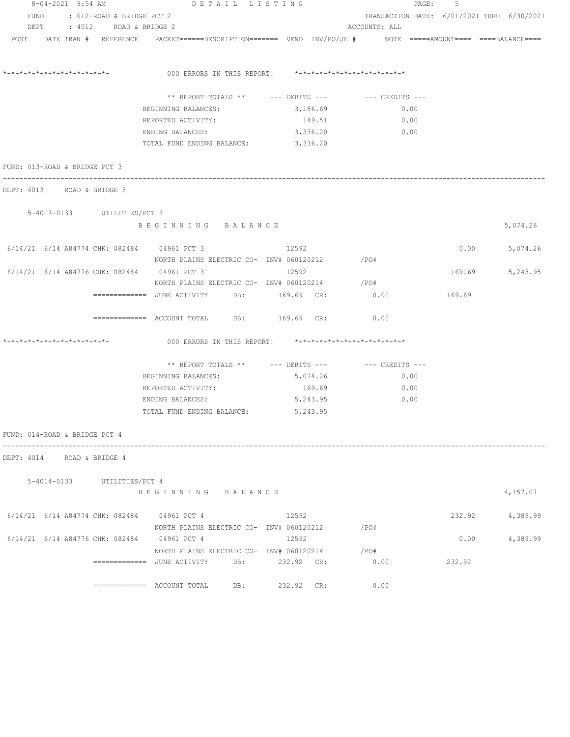| 8-04-2021 9:54 AM                                                                                              | DETAIL LISTING                                          | PAGE: 5    |                                            |        |                 |
|----------------------------------------------------------------------------------------------------------------|---------------------------------------------------------|------------|--------------------------------------------|--------|-----------------|
| FUND : 012-ROAD & BRIDGE PCT 2                                                                                 |                                                         |            | TRANSACTION DATE: 6/01/2021 THRU 6/30/2021 |        |                 |
| DEPT : 4012 ROAD & BRIDGE 2                                                                                    |                                                         |            | ACCOUNTS: ALL                              |        |                 |
| POST DATE TRAN # REFERENCE PACKET=====DESCRIPTION======= VEND INV/PO/JE # NOTE =====AMOUNT==== ====BALANCE==== |                                                         |            |                                            |        |                 |
| *_*_*_*_*_*_*_*_*_*_*_*_*_*_                                                                                   | 000 ERRORS IN THIS REPORT! *-*-*-*-*-*-*-*-*-*-*-*-*-*- |            |                                            |        |                 |
|                                                                                                                |                                                         |            |                                            |        |                 |
|                                                                                                                | ** REPORT TOTALS ** --- DEBITS --- -- -- CREDITS ---    |            |                                            |        |                 |
|                                                                                                                | BEGINNING BALANCES:                                     | 3,186.69   | 0.00                                       |        |                 |
|                                                                                                                | REPORTED ACTIVITY:                                      | 149.51     | 0.00                                       |        |                 |
|                                                                                                                | ENDING BALANCES:                                        | 3,336.20   | 0.00                                       |        |                 |
|                                                                                                                | TOTAL FUND ENDING BALANCE:                              | 3,336.20   |                                            |        |                 |
| FUND: 013-ROAD & BRIDGE PCT 3                                                                                  |                                                         |            |                                            |        |                 |
| DEPT: 4013 ROAD & BRIDGE 3                                                                                     |                                                         |            |                                            |        |                 |
| 5-4013-0133 UTILITIES/PCT 3                                                                                    |                                                         |            |                                            |        |                 |
|                                                                                                                | BEGINNING BALANCE                                       |            |                                            |        | 5,074.26        |
| 6/14/21 6/14 A84774 CHK: 082484 04961 PCT 3 12592                                                              |                                                         |            |                                            | 0.00   | 5,074.26        |
|                                                                                                                | NORTH PLAINS ELECTRIC CO- INV# 060120212 / PO#          |            |                                            |        |                 |
| 6/14/21 6/14 A84776 CHK: 082484 04961 PCT 3                                                                    |                                                         | 12592      |                                            | 169.69 | 5,243.95        |
|                                                                                                                | NORTH PLAINS ELECTRIC CO- INV# 060120214                |            | $/$ PO#                                    |        |                 |
|                                                                                                                |                                                         |            | 0.00                                       | 169.69 |                 |
|                                                                                                                | ============= ACCOUNT TOTAL DB: 169.69 CR:              |            | 0.00                                       |        |                 |
| *_*_*_*_*_*_*_*_*_*_*_*_*_*_*_                                                                                 | 000 ERRORS IN THIS REPORT! *-*-*-*-*-*-*-*-*-*-*-*-*-*- |            |                                            |        |                 |
|                                                                                                                | ** REPORT TOTALS ** --- DEBITS --- -- CREDITS ---       |            |                                            |        |                 |
|                                                                                                                | BEGINNING BALANCES:                                     | 5,074.26   | 0.00                                       |        |                 |
|                                                                                                                | REPORTED ACTIVITY:                                      | 169.69     | 0.00                                       |        |                 |
|                                                                                                                | ENDING BALANCES:                                        | 5,243.95   | 0.00                                       |        |                 |
|                                                                                                                | TOTAL FUND ENDING BALANCE:                              | 5,243.95   |                                            |        |                 |
| FUND: 014-ROAD & BRIDGE PCT 4                                                                                  |                                                         |            |                                            |        |                 |
| DEPT: 4014 ROAD & BRIDGE 4                                                                                     |                                                         |            |                                            |        |                 |
|                                                                                                                |                                                         |            |                                            |        |                 |
| 5-4014-0133 UTILITIES/PCT 4                                                                                    | BEGINNING BALANCE                                       |            |                                            |        | 4,157.07        |
|                                                                                                                |                                                         |            |                                            |        |                 |
| 6/14/21 6/14 A84774 CHK: 082484 04961 PCT 4                                                                    |                                                         | 12592      |                                            |        | 232.92 4,389.99 |
|                                                                                                                | NORTH PLAINS ELECTRIC CO- INV# 060120212                | 12592      | /PO#                                       | 0.00   |                 |
| 6/14/21 6/14 A84776 CHK: 082484 04961 PCT 4                                                                    |                                                         |            |                                            |        | 4,389.99        |
|                                                                                                                | NORTH PLAINS ELECTRIC CO- INV# 060120214                |            | / PO#                                      |        |                 |
|                                                                                                                | ============= JUNE ACTIVITY DB: 232.92 CR:              |            | 0.00                                       | 232.92 |                 |
|                                                                                                                |                                                         | 232.92 CR: | 0.00                                       |        |                 |